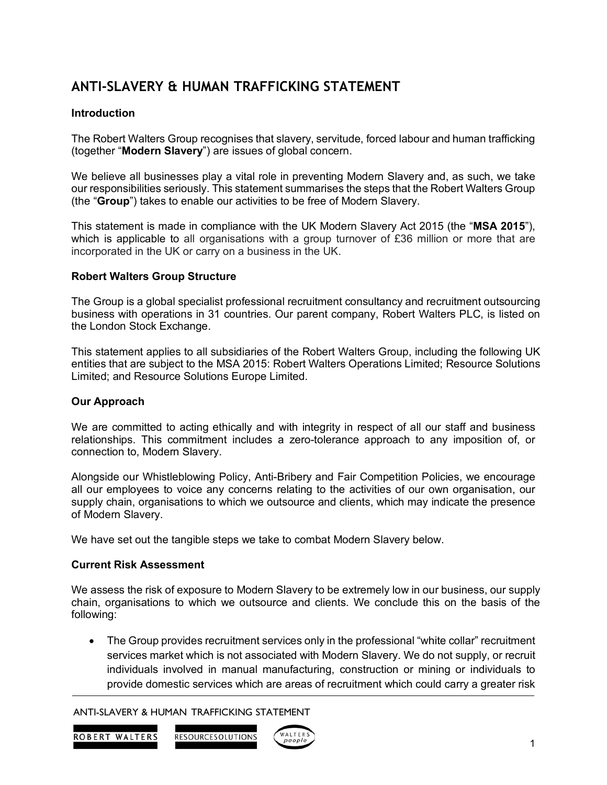# **ANTI-SLAVERY & HUMAN TRAFFICKING STATEMENT**

# **Introduction**

The Robert Walters Group recognises that slavery, servitude, forced labour and human trafficking (together "**Modern Slavery**") are issues of global concern.

We believe all businesses play a vital role in preventing Modern Slavery and, as such, we take our responsibilities seriously. This statement summarises the steps that the Robert Walters Group (the "**Group**") takes to enable our activities to be free of Modern Slavery.

This statement is made in compliance with the UK Modern Slavery Act 2015 (the "**MSA 2015**"), which is applicable to all organisations with a group turnover of £36 million or more that are incorporated in the UK or carry on a business in the UK.

# **Robert Walters Group Structure**

The Group is a global specialist professional recruitment consultancy and recruitment outsourcing business with operations in 31 countries. Our parent company, Robert Walters PLC, is listed on the London Stock Exchange.

This statement applies to all subsidiaries of the Robert Walters Group, including the following UK entities that are subject to the MSA 2015: Robert Walters Operations Limited; Resource Solutions Limited; and Resource Solutions Europe Limited.

# **Our Approach**

We are committed to acting ethically and with integrity in respect of all our staff and business relationships. This commitment includes a zero-tolerance approach to any imposition of, or connection to, Modern Slavery.

Alongside our Whistleblowing Policy, Anti-Bribery and Fair Competition Policies, we encourage all our employees to voice any concerns relating to the activities of our own organisation, our supply chain, organisations to which we outsource and clients, which may indicate the presence of Modern Slavery.

We have set out the tangible steps we take to combat Modern Slavery below.

# **Current Risk Assessment**

We assess the risk of exposure to Modern Slavery to be extremely low in our business, our supply chain, organisations to which we outsource and clients. We conclude this on the basis of the following:

• The Group provides recruitment services only in the professional "white collar" recruitment services market which is not associated with Modern Slavery. We do not supply, or recruit individuals involved in manual manufacturing, construction or mining or individuals to provide domestic services which are areas of recruitment which could carry a greater risk

ANTI-SLAVERY & HUMAN TRAFFICKING STATEMENT



RESOURCESOLUTIONS

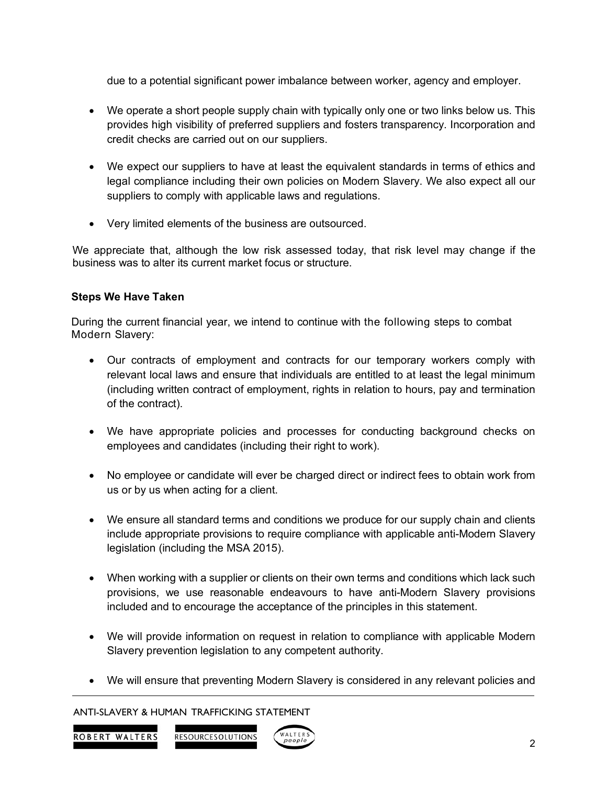due to a potential significant power imbalance between worker, agency and employer.

- We operate a short people supply chain with typically only one or two links below us. This provides high visibility of preferred suppliers and fosters transparency. Incorporation and credit checks are carried out on our suppliers.
- We expect our suppliers to have at least the equivalent standards in terms of ethics and legal compliance including their own policies on Modern Slavery. We also expect all our suppliers to comply with applicable laws and regulations.
- Very limited elements of the business are outsourced.

We appreciate that, although the low risk assessed today, that risk level may change if the business was to alter its current market focus or structure.

# **Steps We Have Taken**

During the current financial year, we intend to continue with the following steps to combat Modern Slavery:

- Our contracts of employment and contracts for our temporary workers comply with relevant local laws and ensure that individuals are entitled to at least the legal minimum (including written contract of employment, rights in relation to hours, pay and termination of the contract).
- We have appropriate policies and processes for conducting background checks on employees and candidates (including their right to work).
- No employee or candidate will ever be charged direct or indirect fees to obtain work from us or by us when acting for a client.
- We ensure all standard terms and conditions we produce for our supply chain and clients include appropriate provisions to require compliance with applicable anti-Modern Slavery legislation (including the MSA 2015).
- When working with a supplier or clients on their own terms and conditions which lack such provisions, we use reasonable endeavours to have anti-Modern Slavery provisions included and to encourage the acceptance of the principles in this statement.
- We will provide information on request in relation to compliance with applicable Modern Slavery prevention legislation to any competent authority.
- We will ensure that preventing Modern Slavery is considered in any relevant policies and

#### ANTI-SLAVERY & HUMAN TRAFFICKING STATEMENT

**ROBERT WALTERS** 

RESOURCESOLUTIONS